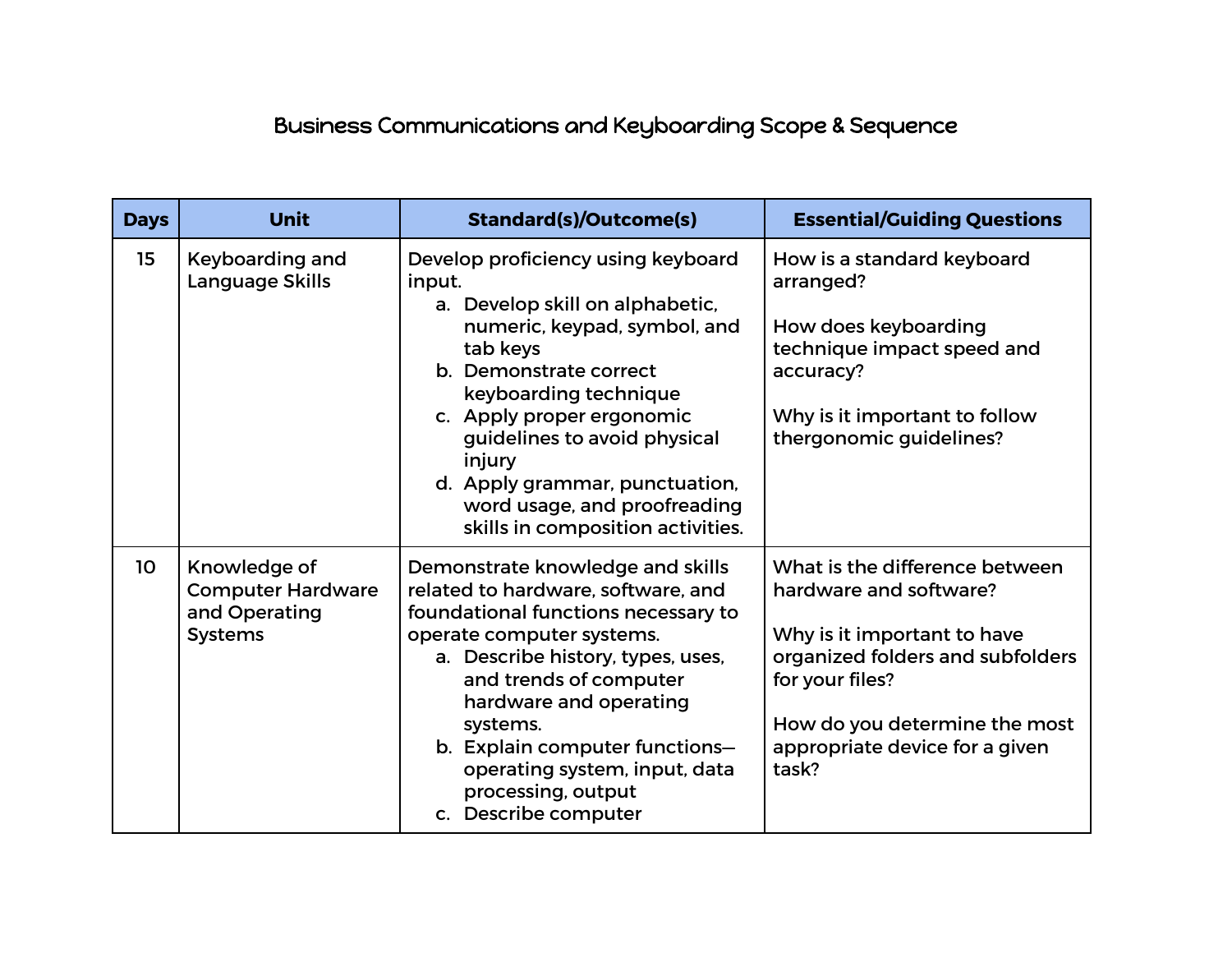## Business Communications and Keyboarding Scope & Sequence

| <b>Days</b> | <b>Unit</b>                                                                 | <b>Standard(s)/Outcome(s)</b>                                                                                                                                                                                                                                                                                                                                    | <b>Essential/Guiding Questions</b>                                                                                                                                                                                         |
|-------------|-----------------------------------------------------------------------------|------------------------------------------------------------------------------------------------------------------------------------------------------------------------------------------------------------------------------------------------------------------------------------------------------------------------------------------------------------------|----------------------------------------------------------------------------------------------------------------------------------------------------------------------------------------------------------------------------|
| 15          | Keyboarding and<br>Language Skills                                          | Develop proficiency using keyboard<br>input.<br>a. Develop skill on alphabetic,<br>numeric, keypad, symbol, and<br>tab keys<br>b. Demonstrate correct<br>keyboarding technique<br>c. Apply proper ergonomic<br>guidelines to avoid physical<br>injury<br>d. Apply grammar, punctuation,<br>word usage, and proofreading<br>skills in composition activities.     | How is a standard keyboard<br>arranged?<br>How does keyboarding<br>technique impact speed and<br>accuracy?<br>Why is it important to follow<br>thergonomic guidelines?                                                     |
| 10          | Knowledge of<br><b>Computer Hardware</b><br>and Operating<br><b>Systems</b> | Demonstrate knowledge and skills<br>related to hardware, software, and<br>foundational functions necessary to<br>operate computer systems.<br>a. Describe history, types, uses,<br>and trends of computer<br>hardware and operating<br>systems.<br>b. Explain computer functions-<br>operating system, input, data<br>processing, output<br>c. Describe computer | What is the difference between<br>hardware and software?<br>Why is it important to have<br>organized folders and subfolders<br>for your files?<br>How do you determine the most<br>appropriate device for a given<br>task? |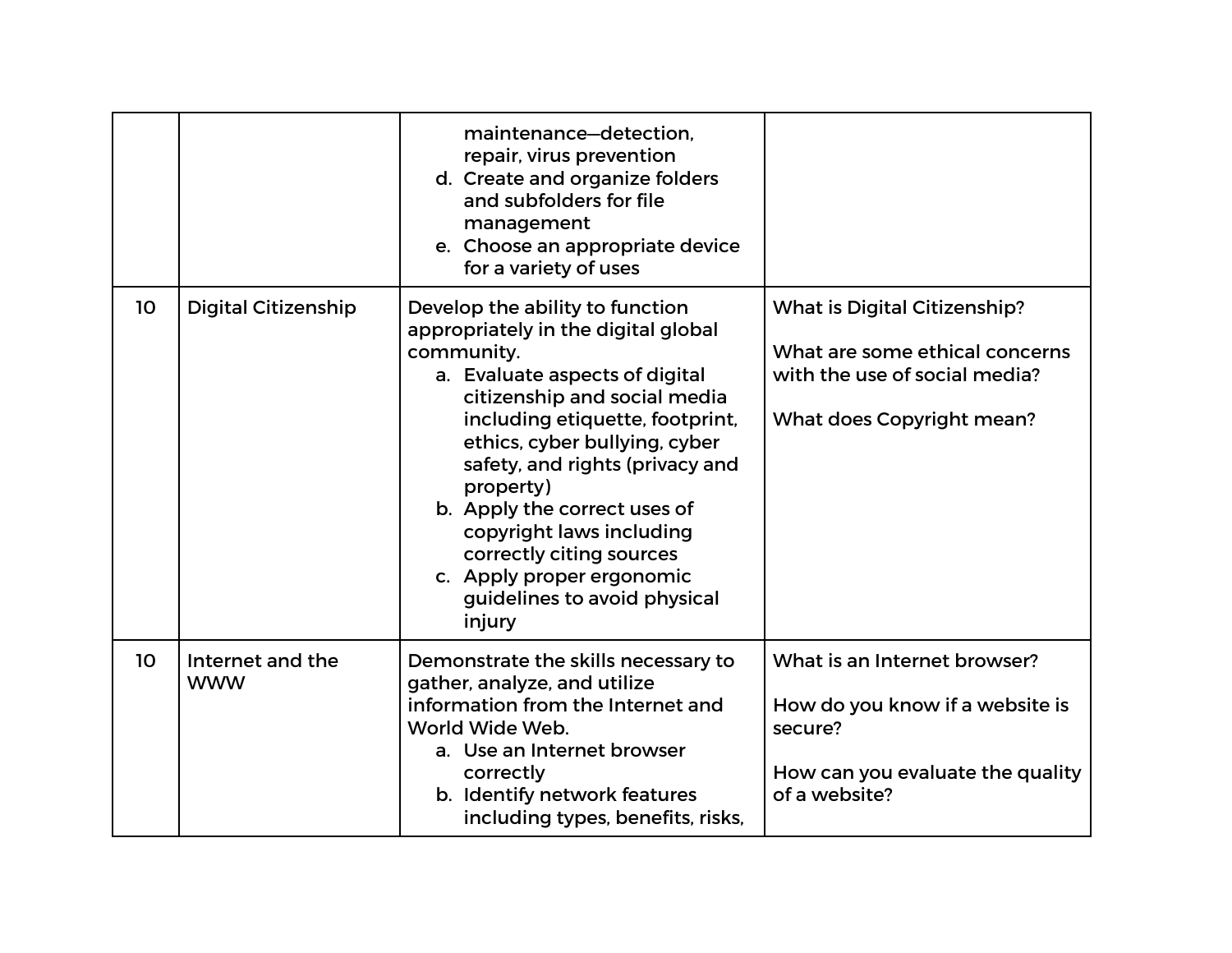|    |                                | maintenance-detection.<br>repair, virus prevention<br>d. Create and organize folders<br>and subfolders for file<br>management<br>e. Choose an appropriate device<br>for a variety of uses                                                                                                                                                                                                                                                 |                                                                                                                                     |
|----|--------------------------------|-------------------------------------------------------------------------------------------------------------------------------------------------------------------------------------------------------------------------------------------------------------------------------------------------------------------------------------------------------------------------------------------------------------------------------------------|-------------------------------------------------------------------------------------------------------------------------------------|
| 10 | <b>Digital Citizenship</b>     | Develop the ability to function<br>appropriately in the digital global<br>community.<br>a. Evaluate aspects of digital<br>citizenship and social media<br>including etiquette, footprint,<br>ethics, cyber bullying, cyber<br>safety, and rights (privacy and<br>property)<br>b. Apply the correct uses of<br>copyright laws including<br>correctly citing sources<br>c. Apply proper ergonomic<br>guidelines to avoid physical<br>injury | <b>What is Digital Citizenship?</b><br>What are some ethical concerns<br>with the use of social media?<br>What does Copyright mean? |
| 10 | Internet and the<br><b>WWW</b> | Demonstrate the skills necessary to<br>gather, analyze, and utilize<br>information from the Internet and<br>World Wide Web.<br>a. Use an Internet browser<br>correctly<br>b. Identify network features<br>including types, benefits, risks,                                                                                                                                                                                               | What is an Internet browser?<br>How do you know if a website is<br>secure?<br>How can you evaluate the quality<br>of a website?     |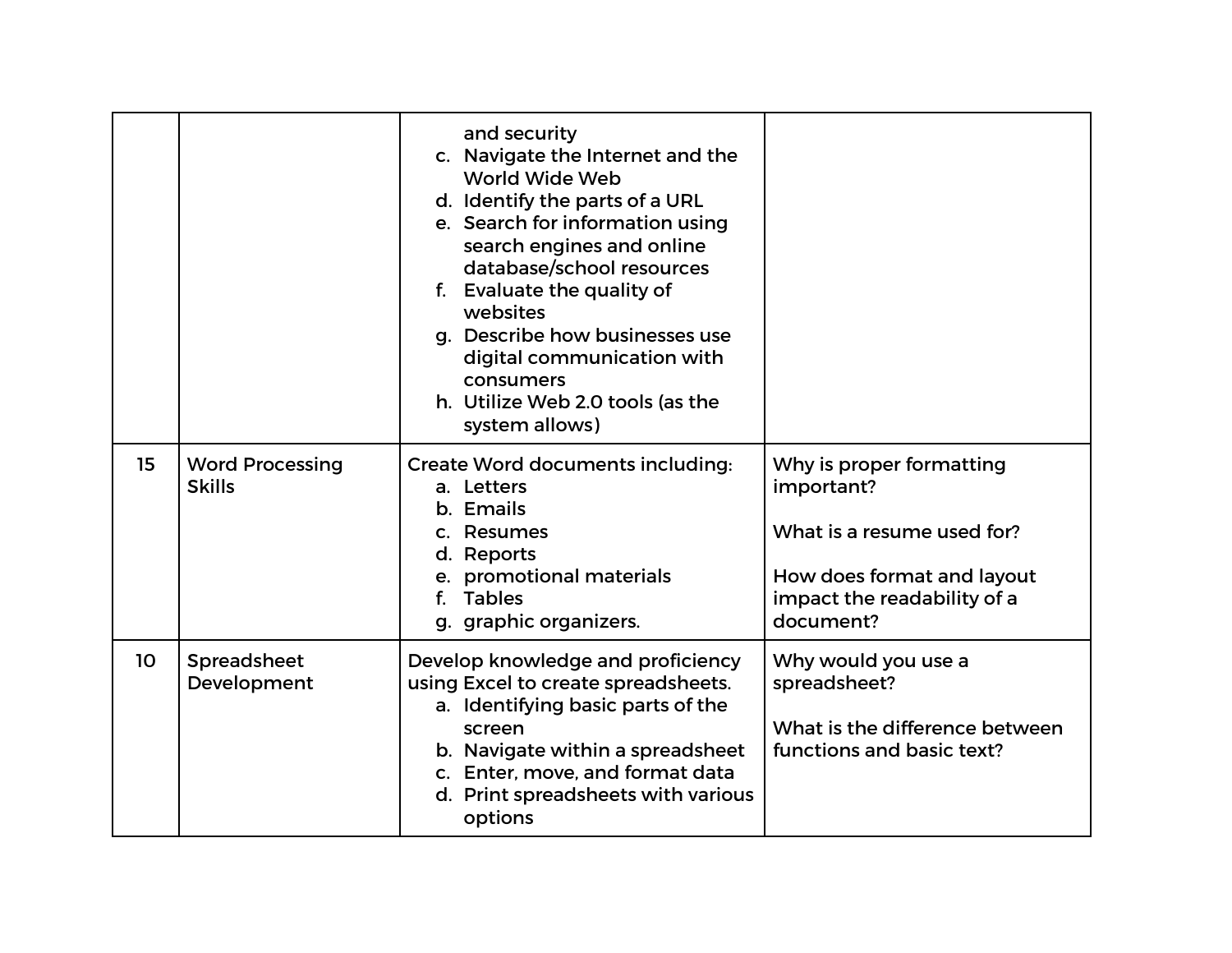|    |                                         | and security<br>c. Navigate the Internet and the<br>World Wide Web<br>d. Identify the parts of a URL<br>e. Search for information using<br>search engines and online<br>database/school resources<br>f. Evaluate the quality of<br>websites<br>g. Describe how businesses use<br>digital communication with<br>consumers<br>h. Utilize Web 2.0 tools (as the<br>system allows) |                                                                                                                                                |
|----|-----------------------------------------|--------------------------------------------------------------------------------------------------------------------------------------------------------------------------------------------------------------------------------------------------------------------------------------------------------------------------------------------------------------------------------|------------------------------------------------------------------------------------------------------------------------------------------------|
| 15 | <b>Word Processing</b><br><b>Skills</b> | <b>Create Word documents including:</b><br>a. Letters<br>b. Emails<br>c. Resumes<br>d. Reports<br>e. promotional materials<br><b>Tables</b><br>f.<br>g. graphic organizers.                                                                                                                                                                                                    | Why is proper formatting<br>important?<br>What is a resume used for?<br>How does format and layout<br>impact the readability of a<br>document? |
| 10 | Spreadsheet<br>Development              | Develop knowledge and proficiency<br>using Excel to create spreadsheets.<br>a. Identifying basic parts of the<br>screen<br>b. Navigate within a spreadsheet<br>c. Enter, move, and format data<br>d. Print spreadsheets with various<br>options                                                                                                                                | Why would you use a<br>spreadsheet?<br>What is the difference between<br>functions and basic text?                                             |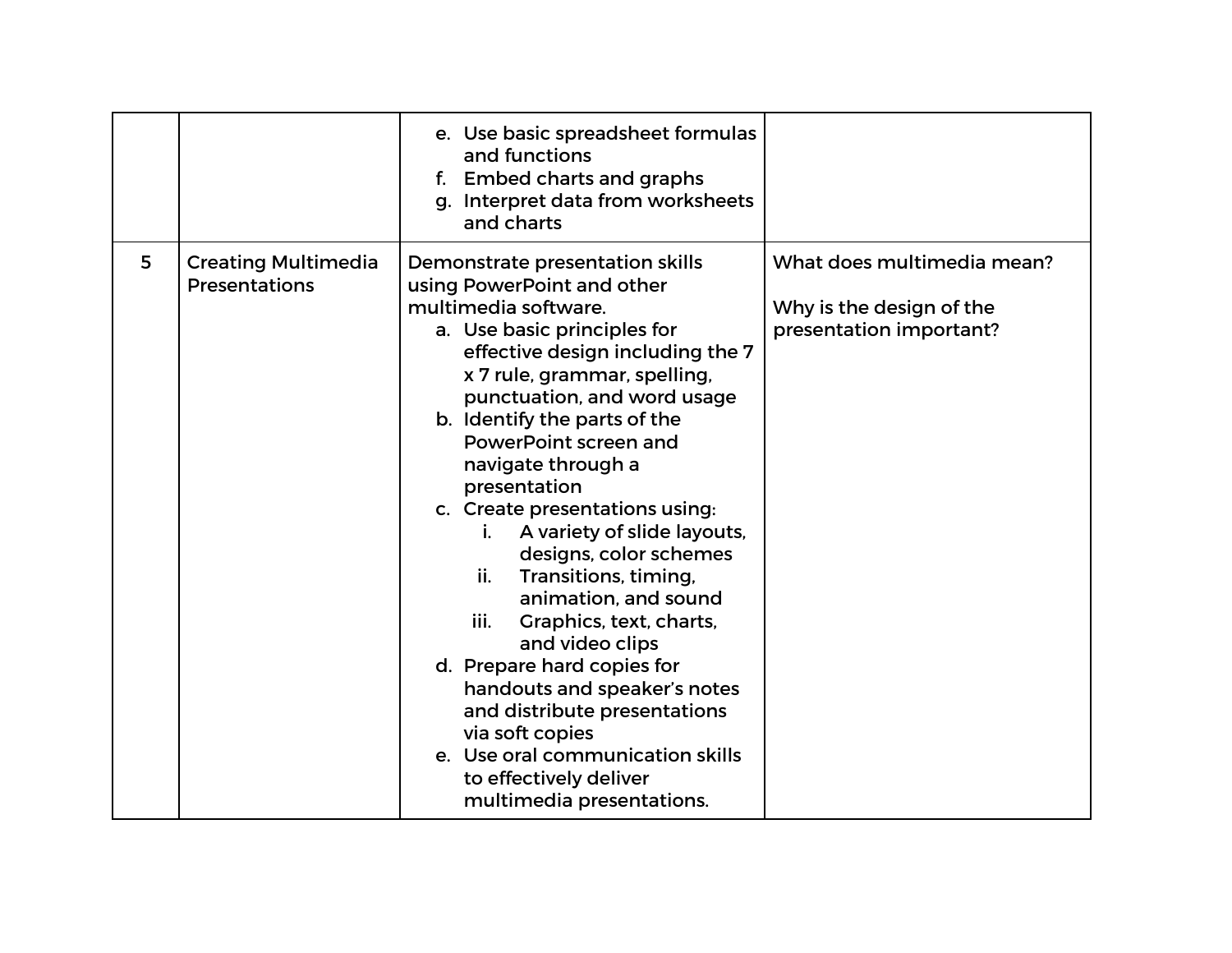|   |                                                    | e. Use basic spreadsheet formulas<br>and functions<br>f. Embed charts and graphs<br>g. Interpret data from worksheets<br>and charts                                                                                                                                                                                                                                                                                                                                                                                                                                                                                                                                                                                                                     |                                                                                   |
|---|----------------------------------------------------|---------------------------------------------------------------------------------------------------------------------------------------------------------------------------------------------------------------------------------------------------------------------------------------------------------------------------------------------------------------------------------------------------------------------------------------------------------------------------------------------------------------------------------------------------------------------------------------------------------------------------------------------------------------------------------------------------------------------------------------------------------|-----------------------------------------------------------------------------------|
| 5 | <b>Creating Multimedia</b><br><b>Presentations</b> | Demonstrate presentation skills<br>using PowerPoint and other<br>multimedia software.<br>a. Use basic principles for<br>effective design including the 7<br>x 7 rule, grammar, spelling,<br>punctuation, and word usage<br>b. Identify the parts of the<br><b>PowerPoint screen and</b><br>navigate through a<br>presentation<br>c. Create presentations using:<br>A variety of slide layouts,<br>i.<br>designs, color schemes<br>Transitions, timing,<br>ii.<br>animation, and sound<br>iii.<br>Graphics, text, charts,<br>and video clips<br>d. Prepare hard copies for<br>handouts and speaker's notes<br>and distribute presentations<br>via soft copies<br>e. Use oral communication skills<br>to effectively deliver<br>multimedia presentations. | What does multimedia mean?<br>Why is the design of the<br>presentation important? |